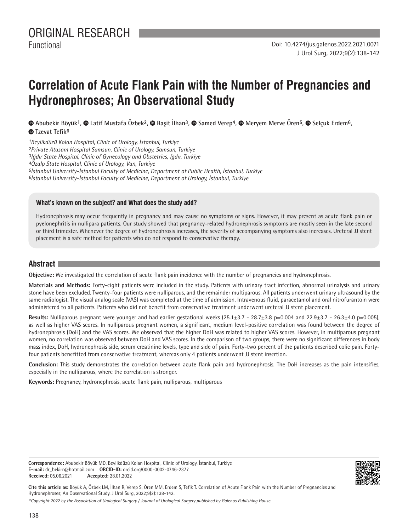# **Correlation of Acute Flank Pain with the Number of Pregnancies and Hydronephroses; An Observational Study**

**Abubekir Böyük1,Latif Mustafa Özbek2,Raşit İlhan3, Samed Verep4,Meryem Merve Ören5, Selçuk Erdem6, <sup>***<b>*</sup> Tzevat Tefik<sup>6</sup>

*Beylikdüzü Kolan Hospital, Clinic of Urology, İstanbul, Turkiye Private Atasam Hospital Samsun, Clinic of Urology, Samsun, Turkiye Iğdır State Hospital, Clinic of Gynecology and Obstetrics, Iğdır, Turkiye Özalp State Hospital, Clinic of Urology, Van, Turkiye İstanbul University-İstanbul Faculty of Medicine, Department of Public Health, İstanbul, Turkiye İstanbul University-İstanbul Faculty of Medicine, Department of Urology, İstanbul, Turkiye*

#### **What's known on the subject? and What does the study add?**

Hydronephrosis may occur frequently in pregnancy and may cause no symptoms or signs. However, it may present as acute flank pain or pyelonephritis in nullipara patients. Our study showed that pregnancy-related hydronephrosis symptoms are mostly seen in the late second or third trimester. Whenever the degree of hydronephrosis increases, the severity of accompanying symptoms also increases. Ureteral JJ stent placement is a safe method for patients who do not respond to conservative therapy.

### **Abstract**

**Objective:** We investigated the correlation of acute flank pain incidence with the number of pregnancies and hydronephrosis.

**Materials and Methods:** Forty-eight patients were included in the study. Patients with urinary tract infection, abnormal urinalysis and urinary stone have been excluded. Twenty-four patients were nulliparous, and the remainder multiparous. All patients underwent urinary ultrasound by the same radiologist. The visual analog scale (VAS) was completed at the time of admission. Intravenous fluid, paracetamol and oral nitrofurantoin were administered to all patients. Patients who did not benefit from conservative treatment underwent ureteral JJ stent placement.

Results: Nulliparous pregnant were younger and had earlier gestational weeks (25.1±3.7 - 28.7±3.8 p=0.004 and 22.9±3.7 - 26.3±4.0 p=0.005), as well as higher VAS scores. In nulliparous pregnant women, a significant, medium level-positive correlation was found between the degree of hydronephrosis (DoH) and the VAS scores. We observed that the higher DoH was related to higher VAS scores. However, in multiparous pregnant women, no correlation was observed between DoH and VAS scores. In the comparison of two groups, there were no significant differences in body mass index, DoH, hydronephrosis side, serum creatinine levels, type and side of pain. Forty-two percent of the patients described colic pain. Fortyfour patients benefitted from conservative treatment, whereas only 4 patients underwent JJ stent insertion.

**Conclusion:** This study demonstrates the correlation between acute flank pain and hydronephrosis. The DoH increases as the pain intensifies, especially in the nulliparous, where the correlation is stronger.

**Keywords:** Pregnancy, hydronephrosis, acute flank pain, nulliparous, multiparous

**Correspondence:** Abubekir Böyük MD, Beylikdüzü Kolan Hospital, Clinic of Urology, İstanbul, Turkiye **E-mail:** dr\_bekirr@hotmail.com **ORCID-ID:** orcid.org/0000-0002-0746-2377 **Received:** 05.06.2021 **Accepted:** 28.01.2022



**Cite this article as:** Böyük A, Özbek LM, İlhan R, Verep S, Ören MM, Erdem S, Tefik T. Correlation of Acute Flank Pain with the Number of Pregnancies and Hydronephroses; An Observational Study. J Urol Surg, 2022;9(2):138-142.

*©Copyright 2022 by the Association of Urological Surgery / Journal of Urological Surgery published by Galenos Publishing House.*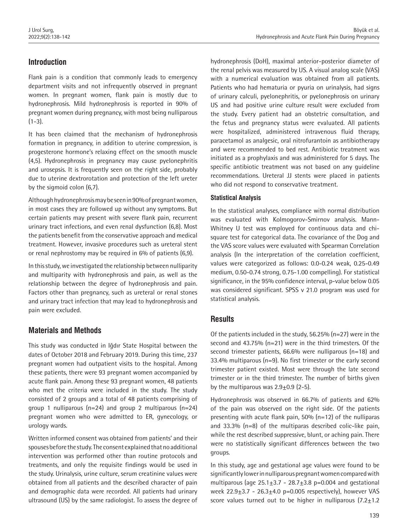# **Introduction**

Flank pain is a condition that commonly leads to emergency department visits and not infrequently observed in pregnant women. In pregnant women, flank pain is mostly due to hydronephrosis. Mild hydronephrosis is reported in 90% of pregnant women during pregnancy, with most being nulliparous  $(1-3)$ .

It has been claimed that the mechanism of hydronephrosis formation in pregnancy, in addition to uterine compression, is progesterone hormone's relaxing effect on the smooth muscle (4,5). Hydronephrosis in pregnancy may cause pyelonephritis and urosepsis. It is frequently seen on the right side, probably due to uterine dextrorotation and protection of the left ureter by the sigmoid colon (6,7).

Although hydronephrosis may be seen in 90% of pregnant women, in most cases they are followed up without any symptoms. But certain patients may present with severe flank pain, recurrent urinary tract infections, and even renal dysfunction (6,8). Most the patients benefit from the conservative approach and medical treatment. However, invasive procedures such as ureteral stent or renal nephrostomy may be required in 6% of patients (6,9).

In this study, we investigated the relationship between nulliparity and multiparity with hydronephrosis and pain, as well as the relationship between the degree of hydronephrosis and pain. Factors other than pregnancy, such as ureteral or renal stones and urinary tract infection that may lead to hydronephrosis and pain were excluded.

# **Materials and Methods**

This study was conducted in Iğdır State Hospital between the dates of October 2018 and February 2019. During this time, 237 pregnant women had outpatient visits to the hospital. Among these patients, there were 93 pregnant women accompanied by acute flank pain. Among these 93 pregnant women, 48 patients who met the criteria were included in the study. The study consisted of 2 groups and a total of 48 patients comprising of group 1 nulliparous (n=24) and group 2 multiparous (n=24) pregnant women who were admitted to ER, gynecology, or urology wards.

Written informed consent was obtained from patients' and their spouses before the study. The consent explained that no additional intervention was performed other than routine protocols and treatments, and only the requisite findings would be used in the study. Urinalysis, urine culture, serum creatinine values were obtained from all patients and the described character of pain and demographic data were recorded. All patients had urinary ultrasound (US) by the same radiologist. To assess the degree of

hydronephrosis (DoH), maximal anterior-posterior diameter of the renal pelvis was measured by US. A visual analog scale (VAS) with a numerical evaluation was obtained from all patients. Patients who had hematuria or pyuria on urinalysis, had signs of urinary calculi, pyelonephritis, or pyelonephrosis on urinary US and had positive urine culture result were excluded from the study. Every patient had an obstetric consultation, and the fetus and pregnancy status were evaluated. All patients were hospitalized, administered intravenous fluid therapy, paracetamol as analgesic, oral nitrofurantoin as antibiotherapy and were recommended to bed rest. Antibiotic treatment was initiated as a prophylaxis and was administered for 5 days. The specific antibiotic treatment was not based on any guideline recommendations. Ureteral JJ stents were placed in patients who did not respond to conservative treatment.

## **Statistical Analysis**

In the statistical analyses, compliance with normal distribution was evaluated with Kolmogorov-Smirnov analysis. Mann-Whitney U test was employed for continuous data and chisquare test for categorical data. The covariance of the Dog and the VAS score values were evaluated with Spearman Correlation analysis (In the interpretation of the correlation coefficient, values were categorized as follows: 0.0-0.24 weak, 0.25-0.49 medium, 0.50-0.74 strong, 0.75-1.00 compelling). For statistical significance, in the 95% confidence interval, p-value below 0.05 was considered significant. SPSS v 21.0 program was used for statistical analysis.

## **Results**

Of the patients included in the study, 56.25% (n=27) were in the second and 43.75% (n=21) were in the third trimesters. Of the second trimester patients, 66.6% were nulliparous (n=18) and 33.4% multiparous (n=9). No first trimester or the early second trimester patient existed. Most were through the late second trimester or in the third trimester. The number of births given by the multiparous was  $2.9\pm0.9$  (2-5).

Hydronephrosis was observed in 66.7% of patients and 62% of the pain was observed on the right side. Of the patients presenting with acute flank pain, 50% (n=12) of the nulliparas and 33.3% (n=8) of the multiparas described colic-like pain, while the rest described suppressive, blunt, or aching pain. There were no statistically significant differences between the two groups.

In this study, age and gestational age values were found to be significantly lower in nulliparous pregnant women compared with multiparous (age  $25.1\pm3.7$  -  $28.7\pm3.8$  p=0.004 and gestational week  $22.9 \pm 3.7$  -  $26.3 \pm 4.0$  p=0.005 respectively), however VAS score values turned out to be higher in nulliparous  $(7.2 \pm 1.2)$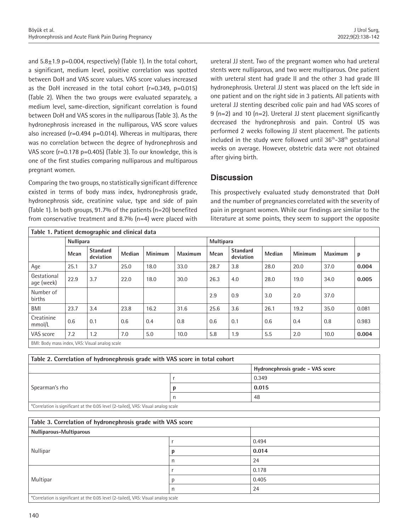and  $5.8\pm1.9$  p=0.004, respectively) (Table 1). In the total cohort, a significant, medium level, positive correlation was spotted between DoH and VAS score values. VAS score values increased as the DoH increased in the total cohort (r=0.349, p=0.015) (Table 2). When the two groups were evaluated separately, a medium level, same-direction, significant correlation is found between DoH and VAS scores in the nulliparous (Table 3). As the hydronephrosis increased in the nulliparous, VAS score values also increased (r=0.494 p=0.014). Whereas in multiparas, there was no correlation between the degree of hydronephrosis and VAS score (r=0.178 p=0.405) (Table 3). To our knowledge, this is one of the first studies comparing nulliparous and multiparous pregnant women.

Comparing the two groups, no statistically significant difference existed in terms of body mass index, hydronephrosis grade, hydronephrosis side, creatinine value, type and side of pain (Table 1). In both groups, 91.7% of the patients (n=20) benefited from conservative treatment and 8.7% (n=4) were placed with ureteral JJ stent. Two of the pregnant women who had ureteral stents were nulliparous, and two were multiparous. One patient with ureteral stent had grade II and the other 3 had grade III hydronephrosis. Ureteral JJ stent was placed on the left side in one patient and on the right side in 3 patients. All patients with ureteral JJ stenting described colic pain and had VAS scores of 9 (n=2) and 10 (n=2). Ureteral JJ stent placement significantly decreased the hydronephrosis and pain. Control US was performed 2 weeks following JJ stent placement. The patients included in the study were followed until 36<sup>th</sup>-38<sup>th</sup> gestational weeks on average. However, obstetric data were not obtained after giving birth.

## **Discussion**

This prospectively evaluated study demonstrated that DoH and the number of pregnancies correlated with the severity of pain in pregnant women. While our findings are similar to the literature at some points, they seem to support the opposite

| Table 1. Patient demographic and clinical data        |                  |                              |        |                |                |                  |                              |               |                |                |       |
|-------------------------------------------------------|------------------|------------------------------|--------|----------------|----------------|------------------|------------------------------|---------------|----------------|----------------|-------|
|                                                       | <b>Nullipara</b> |                              |        |                |                | <b>Multipara</b> |                              |               |                |                |       |
|                                                       | Mean             | <b>Standard</b><br>deviation | Median | <b>Minimum</b> | <b>Maximum</b> | Mean             | <b>Standard</b><br>deviation | <b>Median</b> | <b>Minimum</b> | <b>Maximum</b> | p     |
| Age                                                   | 25.1             | 3.7                          | 25.0   | 18.0           | 33.0           | 28.7             | 3.8                          | 28.0          | 20.0           | 37.0           | 0.004 |
| Gestational<br>age (week)                             | 22.9             | 3.7                          | 22.0   | 18.0           | 30.0           | 26.3             | 4.0                          | 28.0          | 19.0           | 34.0           | 0.005 |
| Number of<br>births                                   |                  |                              |        |                |                | 2.9              | 0.9                          | 3.0           | 2.0            | 37.0           |       |
| <b>BMI</b>                                            | 23.7             | 3.4                          | 23.8   | 16.2           | 31.6           | 25.6             | 3.6                          | 26.1          | 19.2           | 35.0           | 0.081 |
| Creatinine<br>mmol/L                                  | 0.6              | 0.1                          | 0.6    | 0.4            | 0.8            | 0.6              | 0.1                          | 0.6           | 0.4            | 0.8            | 0.983 |
| VAS score                                             | 7.2              | 1.2                          | 7.0    | 5.0            | 10.0           | 5.8              | 1.9                          | 5.5           | 2.0            | 10.0           | 0.004 |
| <b>DMI</b> : Rody mass indov MAC: Visual angles soole |                  |                              |        |                |                |                  |                              |               |                |                |       |

BMI: Body mass index, VAS: Visual analog scale

| Table 2. Correlation of hydronephrosis grade with VAS score in total cohort        |  |                                  |  |  |  |  |
|------------------------------------------------------------------------------------|--|----------------------------------|--|--|--|--|
|                                                                                    |  | Hydronephrosis grade - VAS score |  |  |  |  |
|                                                                                    |  | 0.349                            |  |  |  |  |
| Spearman's rho                                                                     |  | 0.015                            |  |  |  |  |
|                                                                                    |  | 48                               |  |  |  |  |
| *Correlation is significant at the 0.05 level (2-tailed), VAS: Visual analog scale |  |                                  |  |  |  |  |

| Table 3. Correlation of hydronephrosis grade with VAS score                        |   |       |  |  |  |  |
|------------------------------------------------------------------------------------|---|-------|--|--|--|--|
| Nulliparous-Multiparous                                                            |   |       |  |  |  |  |
|                                                                                    |   | 0.494 |  |  |  |  |
| Nullipar                                                                           | n | 0.014 |  |  |  |  |
|                                                                                    | n | 24    |  |  |  |  |
|                                                                                    |   | 0.178 |  |  |  |  |
| Multipar                                                                           | n | 0.405 |  |  |  |  |
|                                                                                    | n | 24    |  |  |  |  |
| *Correlation is significant at the 0.05 level (2-tailed), VAS: Visual analog scale |   |       |  |  |  |  |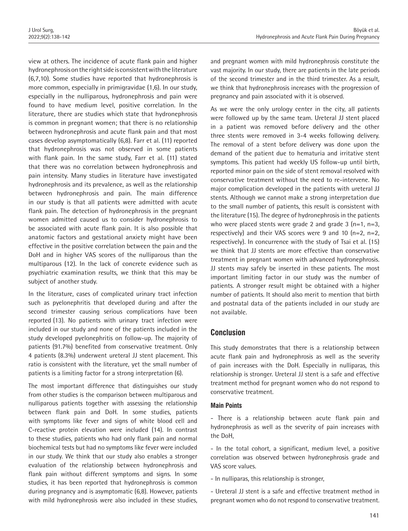view at others. The incidence of acute flank pain and higher hydronephrosis on the right side is consistent with the literature (6,7,10). Some studies have reported that hydronephrosis is more common, especially in primigravidae (1,6). In our study, especially in the nulliparous, hydronephrosis and pain were found to have medium level, positive correlation. In the literature, there are studies which state that hydronephrosis is common in pregnant women; that there is no relationship between hydronephrosis and acute flank pain and that most cases develop asymptomatically (6,8). Farr et al. (11) reported that hydronephrosis was not observed in some patients with flank pain. In the same study, Farr et al. (11) stated that there was no correlation between hydronephrosis and pain intensity. Many studies in literature have investigated hydronephrosis and its prevalence, as well as the relationship between hydronephrosis and pain. The main difference in our study is that all patients were admitted with acute flank pain. The detection of hydronephrosis in the pregnant women admitted caused us to consider hydronephrosis to be associated with acute flank pain. It is also possible that anatomic factors and gestational anxiety might have been effective in the positive correlation between the pain and the DoH and in higher VAS scores of the nulliparous than the multiparous (12). In the lack of concrete evidence such as psychiatric examination results, we think that this may be subject of another study.

In the literature, cases of complicated urinary tract infection such as pyelonephritis that developed during and after the second trimester causing serious complications have been reported (13). No patients with urinary tract infection were included in our study and none of the patients included in the study developed pyelonephritis on follow-up. The majority of patients (91.7%) benefited from conservative treatment. Only 4 patients (8.3%) underwent ureteral JJ stent placement. This ratio is consistent with the literature, yet the small number of patients is a limiting factor for a strong interpretation (6).

The most important difference that distinguishes our study from other studies is the comparison between multiparous and nulliparous patients together with assessing the relationship between flank pain and DoH. In some studies, patients with symptoms like fever and signs of white blood cell and C-reactive protein elevation were included (14). In contrast to these studies, patients who had only flank pain and normal biochemical tests but had no symptoms like fever were included in our study. We think that our study also enables a stronger evaluation of the relationship between hydronephrosis and flank pain without different symptoms and signs. In some studies, it has been reported that hydronephrosis is common during pregnancy and is asymptomatic (6,8). However, patients with mild hydronephrosis were also included in these studies, and pregnant women with mild hydronephrosis constitute the vast majority. In our study, there are patients in the late periods of the second trimester and in the third trimester. As a result, we think that hydronephrosis increases with the progression of pregnancy and pain associated with it is observed.

As we were the only urology center in the city, all patients were followed up by the same team. Ureteral JJ stent placed in a patient was removed before delivery and the other three stents were removed in 3-4 weeks following delivery. The removal of a stent before delivery was done upon the demand of the patient due to hematuria and irritative stent symptoms. This patient had weekly US follow-up until birth, reported minor pain on the side of stent removal resolved with conservative treatment without the need to re-intervene. No major complication developed in the patients with ureteral JJ stents. Although we cannot make a strong interpretation due to the small number of patients, this result is consistent with the literature (15). The degree of hydronephrosis in the patients who were placed stents were grade 2 and grade 3  $(n=1, n=3, 1)$ respectively) and their VAS scores were 9 and 10  $(n=2, n=2,$ respectively). In concurrence with the study of Tsai et al. (15) we think that JJ stents are more effective than conservative treatment in pregnant women with advanced hydronephrosis. JJ stents may safely be inserted in these patients. The most important limiting factor in our study was the number of patients. A stronger result might be obtained with a higher number of patients. It should also merit to mention that birth and postnatal data of the patients included in our study are not available.

## **Conclusion**

This study demonstrates that there is a relationship between acute flank pain and hydronephrosis as well as the severity of pain increases with the DoH. Especially in nulliparas, this relationship is stronger. Ureteral JJ stent is a safe and effective treatment method for pregnant women who do not respond to conservative treatment.

#### **Main Points**

- There is a relationship between acute flank pain and hydronephrosis as well as the severity of pain increases with the DoH,

- In the total cohort, a significant, medium level, a positive correlation was observed between hydronephrosis grade and VAS score values.

- In nulliparas, this relationship is stronger,

- Ureteral JJ stent is a safe and effective treatment method in pregnant women who do not respond to conservative treatment.